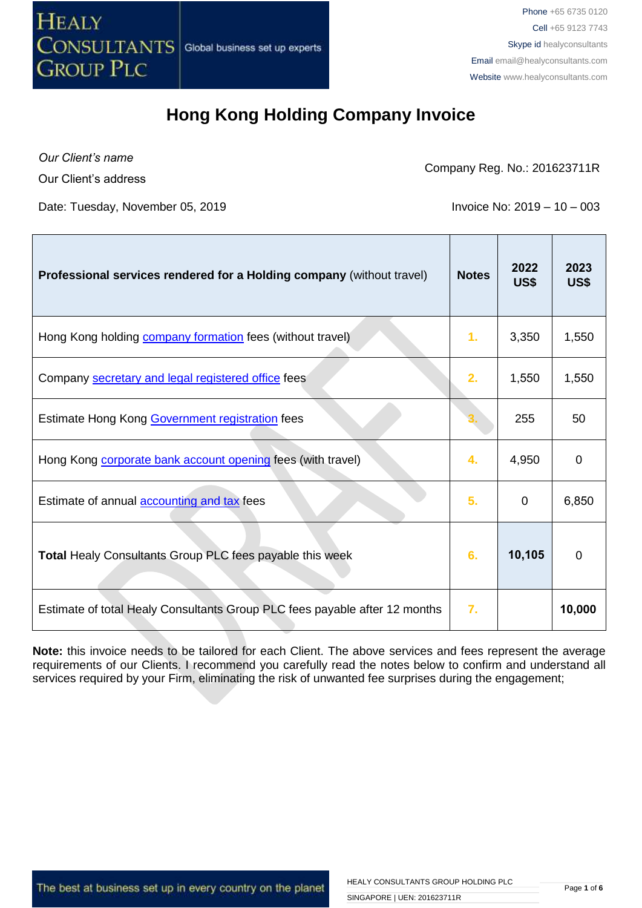

*Our Client's name*

Our Client's address

Company Reg. No.: 201623711R

Date: Tuesday, November 05, 2019 **Invoice No: 2019 – 10 – 003** 

| Professional services rendered for a Holding company (without travel)      | <b>Notes</b> | 2022<br>US\$ | 2023<br>US\$ |
|----------------------------------------------------------------------------|--------------|--------------|--------------|
| Hong Kong holding <b>company formation</b> fees (without travel)           | 1.           | 3,350        | 1,550        |
| Company secretary and legal registered office fees                         | 2.           | 1,550        | 1,550        |
| Estimate Hong Kong Government registration fees                            |              | 255          | 50           |
| Hong Kong <b>corporate bank account opening</b> fees (with travel)         | 4.           | 4,950        | 0            |
| Estimate of annual <b>accounting and tax</b> fees                          | 5.           | 0            | 6,850        |
| <b>Total Healy Consultants Group PLC fees payable this week</b>            | 6.           | 10,105       | $\Omega$     |
| Estimate of total Healy Consultants Group PLC fees payable after 12 months | 7.           |              | 10,000       |

**Note:** this invoice needs to be tailored for each Client. The above services and fees represent the average requirements of our Clients. I recommend you carefully read the notes below to confirm and understand all services required by your Firm, eliminating the risk of unwanted fee surprises during the engagement;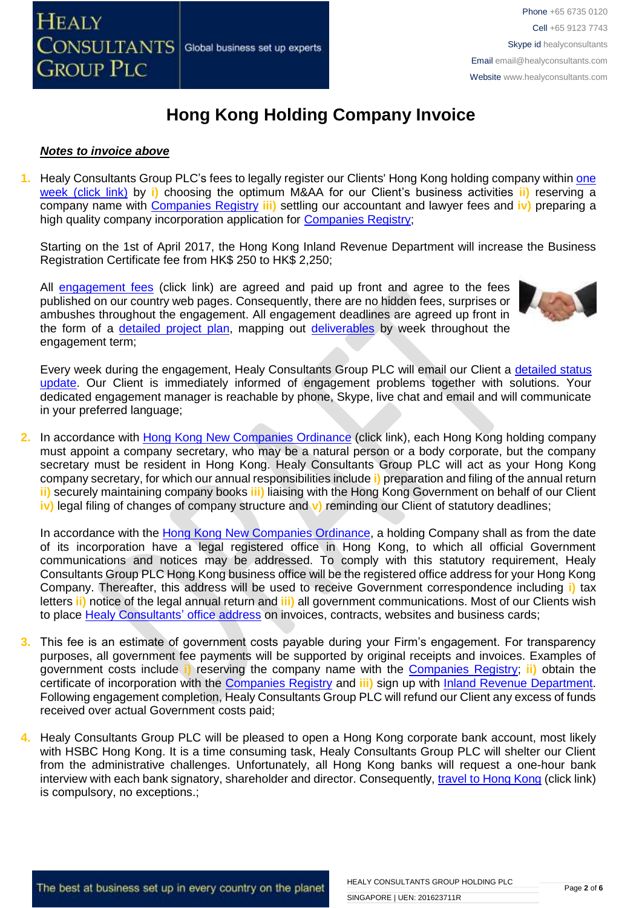

#### *Notes to invoice above*

**1.** Healy Consultants Group PLC's fees to legally register our Clients' Hong Kong holding company within [one](http://www.healyconsultants.com/hong-kong-company-registration/incorporation-steps/) [week \(click link\)](http://www.healyconsultants.com/hong-kong-company-registration/incorporation-steps/) by **i)** choosing the optimum M&AA for our Client's business activities **ii)** reserving a company name with [Companies Registry](http://www.cr.gov.hk/en/public/services.htm) **iii)** settling our accountant and lawyer fees and **iv)** preparing a high quality company incorporation application for [Companies Registry;](http://www.cr.gov.hk/en/public/services.htm)

Starting on the 1st of April 2017, the Hong Kong Inland Revenue Department will increase the Business Registration Certificate fee from HK\$ 250 to HK\$ 2,250;

All [engagement fees](http://www.healyconsultants.com/company-registration-fees/) (click link) are agreed and paid up front and agree to the fees published on our country web pages. Consequently, there are no hidden fees, surprises or ambushes throughout the engagement. All engagement deadlines are agreed up front in the form of a [detailed project plan,](http://www.healyconsultants.com/index-important-links/example-project-plan/) mapping out [deliverables](http://www.healyconsultants.com/deliverables-to-our-clients/) by week throughout the engagement term;



Every week during the engagement, Healy Consultants Group PLC will email our Client a [detailed status](http://www.healyconsultants.com/index-important-links/weekly-engagement-status-email/) [update.](http://www.healyconsultants.com/index-important-links/weekly-engagement-status-email/) Our Client is immediately informed of engagement problems together with solutions. Your dedicated engagement manager is reachable by phone, Skype, live chat and email and will communicate in your preferred language;

**2.** In accordance with [Hong Kong New Companies Ordinance](http://www.cr.gov.hk/en/companies_ordinance/docs/NewCO_C622_HL_FullVersion-e.pdf) (click link), each Hong Kong holding company must appoint a company secretary, who may be a natural person or a body corporate, but the company secretary must be resident in Hong Kong. Healy Consultants Group PLC will act as your Hong Kong company secretary, for which our annual responsibilities include **i)** preparation and filing of the annual return **ii)** securely maintaining company books **iii)** liaising with the Hong Kong Government on behalf of our Client **iv)** legal filing of changes of company structure and **v)** reminding our Client of statutory deadlines;

In accordance with the [Hong Kong New Companies Ordinance,](http://www.cr.gov.hk/en/companies_ordinance/docs/NewCO_C622_HL_FullVersion-e.pdf) a holding Company shall as from the date of its incorporation have a legal registered office in Hong Kong, to which all official Government communications and notices may be addressed. To comply with this statutory requirement, Healy Consultants Group PLC Hong Kong business office will be the registered office address for your Hong Kong Company. Thereafter, this address will be used to receive Government correspondence including **i)** tax letters **ii)** notice of the legal annual return and **iii)** all government communications. Most of our Clients wish to place [Healy Consultants'](http://www.healyconsultants.com/corporate-outsourcing-services/company-secretary-and-legal-registered-office/) office address on invoices, contracts, websites and business cards;

- **3.** This fee is an estimate of government costs payable during your Firm's engagement. For transparency purposes, all government fee payments will be supported by original receipts and invoices. Examples of government costs include **i)** reserving the company name with the [Companies Registry;](http://www.cr.gov.hk/en/public/services.htm) **ii)** obtain the certificate of incorporation with the [Companies Registry](http://www.cr.gov.hk/en/public/services.htm) and **iii)** sign up with [Inland Revenue Department.](http://www.ird.gov.hk/eng/welcome.htm) Following engagement completion, Healy Consultants Group PLC will refund our Client any excess of funds received over actual Government costs paid;
- **4.** Healy Consultants Group PLC will be pleased to open a Hong Kong corporate bank account, most likely with HSBC Hong Kong. It is a time consuming task, Healy Consultants Group PLC will shelter our Client from the administrative challenges. Unfortunately, all Hong Kong banks will request a one-hour bank interview with each bank signatory, shareholder and director. Consequently, [travel to Hong Kong](http://www.healyconsultants.com/hong-kong-company-registration/concierge-services/) (click link) is compulsory, no exceptions.;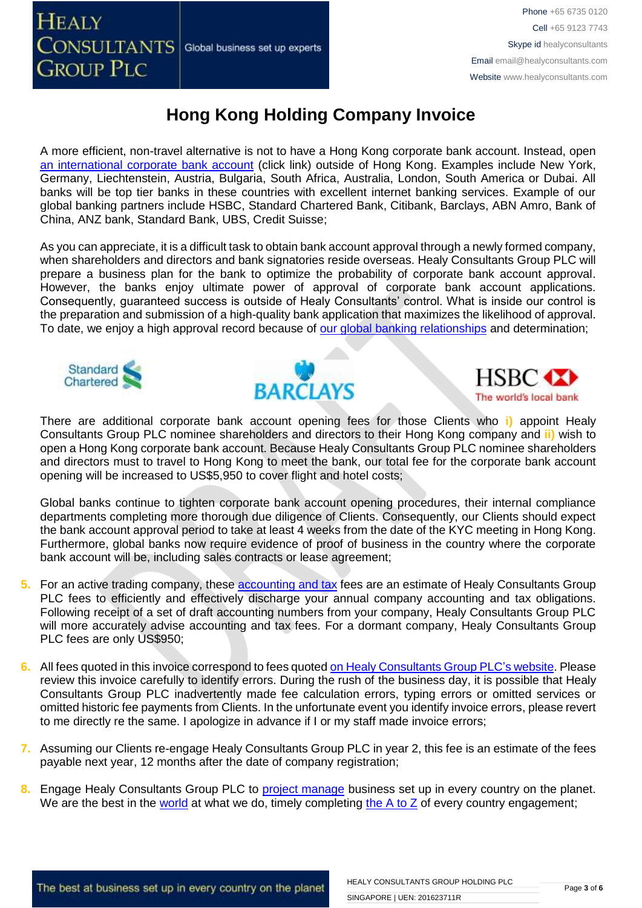A more efficient, non-travel alternative is not to have a Hong Kong corporate bank account. Instead, open [an international corporate bank account](http://www.healyconsultants.com/international-banking/) (click link) outside of Hong Kong. Examples include New York, Germany, Liechtenstein, Austria, Bulgaria, South Africa, Australia, London, South America or Dubai. All banks will be top tier banks in these countries with excellent internet banking services. Example of our global banking partners include HSBC, Standard Chartered Bank, Citibank, Barclays, ABN Amro, Bank of China, ANZ bank, Standard Bank, UBS, Credit Suisse;

As you can appreciate, it is a difficult task to obtain bank account approval through a newly formed company, when shareholders and directors and bank signatories reside overseas. Healy Consultants Group PLC will prepare a business plan for the bank to optimize the probability of corporate bank account approval. However, the banks enjoy ultimate power of approval of corporate bank account applications. Consequently, guaranteed success is outside of Healy Consultants' control. What is inside our control is the preparation and submission of a high-quality bank application that maximizes the likelihood of approval. To date, we enjoy a high approval record because of [our global banking relationships](http://www.healyconsultants.com/international-banking/corporate-accounts/) and determination;







There are additional corporate bank account opening fees for those Clients who **i)** appoint Healy Consultants Group PLC nominee shareholders and directors to their Hong Kong company and **ii)** wish to open a Hong Kong corporate bank account. Because Healy Consultants Group PLC nominee shareholders and directors must to travel to Hong Kong to meet the bank, our total fee for the corporate bank account opening will be increased to US\$5,950 to cover flight and hotel costs;

Global banks continue to tighten corporate bank account opening procedures, their internal compliance departments completing more thorough due diligence of Clients. Consequently, our Clients should expect the bank account approval period to take at least 4 weeks from the date of the KYC meeting in Hong Kong. Furthermore, global banks now require evidence of proof of business in the country where the corporate bank account will be, including sales contracts or lease agreement;

- **5.** For an active trading company, these [accounting](http://www.healyconsultants.com/hong-kong-company-registration/accounting-legal/) and tax fees are an estimate of Healy Consultants Group PLC fees to efficiently and effectively discharge your annual company accounting and tax obligations. Following receipt of a set of draft accounting numbers from your company, Healy Consultants Group PLC will more accurately advise accounting and tax fees. For a dormant company, Healy Consultants Group PLC fees are only US\$950;
- **6.** All fees quoted in this invoice correspond to fees quoted [on Healy Consultants](http://www.healyconsultants.com/company-registration-fees/) Group PLC's website. Please review this invoice carefully to identify errors. During the rush of the business day, it is possible that Healy Consultants Group PLC inadvertently made fee calculation errors, typing errors or omitted services or omitted historic fee payments from Clients. In the unfortunate event you identify invoice errors, please revert to me directly re the same. I apologize in advance if I or my staff made invoice errors;
- **7.** Assuming our Clients re-engage Healy Consultants Group PLC in year 2, this fee is an estimate of the fees payable next year, 12 months after the date of company registration;
- **8.** Engage Healy Consultants Group PLC to [project manage](http://www.healyconsultants.com/project-manage-engagements/) business set up in every country on the planet. We are the best in the [world](http://www.healyconsultants.com/best-in-the-world/) at what we do, timely completing [the A to Z](http://www.healyconsultants.com/a-to-z-of-business-set-up/) of every country engagement;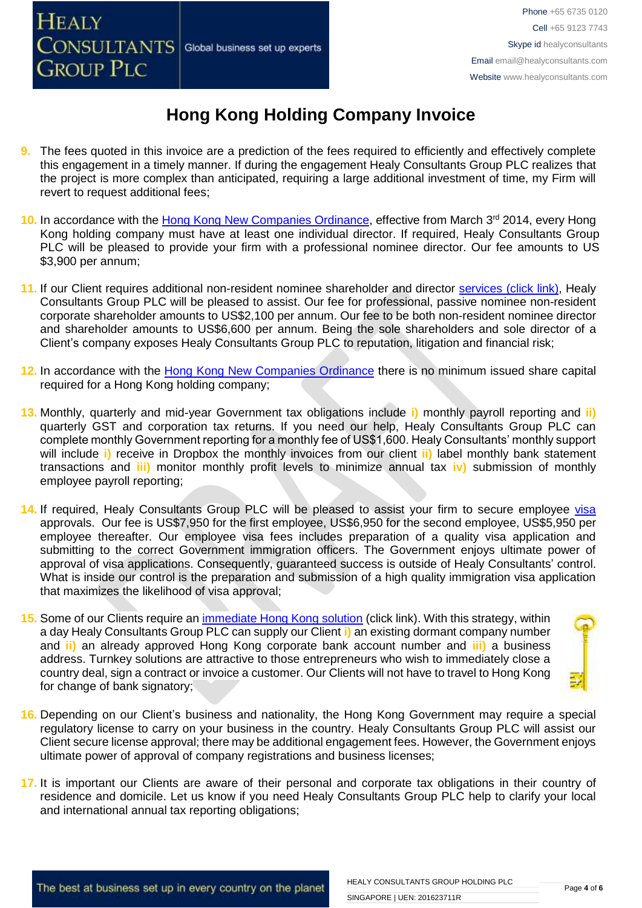- **9.** The fees quoted in this invoice are a prediction of the fees required to efficiently and effectively complete this engagement in a timely manner. If during the engagement Healy Consultants Group PLC realizes that the project is more complex than anticipated, requiring a large additional investment of time, my Firm will revert to request additional fees;
- 10. In accordance with the [Hong Kong New Companies Ordinance,](http://www.cr.gov.hk/en/companies_ordinance/docs/NewCO_C622_HL_FullVersion-e.pdf) effective from March 3<sup>rd</sup> 2014, every Hong Kong holding company must have at least one individual director. If required, Healy Consultants Group PLC will be pleased to provide your firm with a professional nominee director. Our fee amounts to US \$3,900 per annum;
- 11. If our Client requires additional non-resident nominee shareholder and director services [\(click link\),](http://www.healyconsultants.com/corporate-outsourcing-services/nominee-shareholders-directors/) Healy Consultants Group PLC will be pleased to assist. Our fee for professional, passive nominee non-resident corporate shareholder amounts to US\$2,100 per annum. Our fee to be both non-resident nominee director and shareholder amounts to US\$6,600 per annum. Being the sole shareholders and sole director of a Client's company exposes Healy Consultants Group PLC to reputation, litigation and financial risk;
- **12.** In accordance with the [Hong Kong New Companies Ordinance](http://www.cr.gov.hk/en/companies_ordinance/docs/NewCO_C622_HL_FullVersion-e.pdf) there is no minimum issued share capital required for a Hong Kong holding company;
- **13.** Monthly, quarterly and mid-year Government tax obligations include **i)** monthly payroll reporting and **ii)** quarterly GST and corporation tax returns. If you need our help, Healy Consultants Group PLC can complete monthly Government reporting for a monthly fee of US\$1,600. Healy Consultants' monthly support will include **i)** receive in Dropbox the monthly invoices from our client **ii)** label monthly bank statement transactions and **iii)** monitor monthly profit levels to minimize annual tax **iv)** submission of monthly employee payroll reporting;
- 14. If required, Healy Consultants Group PLC will be pleased to assist your firm to secure employee [visa](http://www.healyconsultants.com/hong-kong-company-registration/formation-support-services/) approvals. Our fee is US\$7,950 for the first employee, US\$6,950 for the second employee, US\$5,950 per employee thereafter. Our employee visa fees includes preparation of a quality visa application and submitting to the correct Government immigration officers. The Government enjoys ultimate power of approval of visa applications. Consequently, guaranteed success is outside of Healy Consultants' control. What is inside our control is the preparation and submission of a high quality immigration visa application that maximizes the likelihood of visa approval;
- 15. Some of our Clients require an *immediate Hong Kong solution* (click link). With this strategy, within a day Healy Consultants Group PLC can supply our Client **i)** an existing dormant company number and **ii)** an already approved Hong Kong corporate bank account number and **iii)** a business address. Turnkey solutions are attractive to those entrepreneurs who wish to immediately close a country deal, sign a contract or invoice a customer. Our Clients will not have to travel to Hong Kong for change of bank signatory;



- **16.** Depending on our Client's business and nationality, the Hong Kong Government may require a special regulatory license to carry on your business in the country. Healy Consultants Group PLC will assist our Client secure license approval; there may be additional engagement fees. However, the Government enjoys ultimate power of approval of company registrations and business licenses;
- **17.** It is important our Clients are aware of their personal and corporate tax obligations in their country of residence and domicile. Let us know if you need Healy Consultants Group PLC help to clarify your local and international annual tax reporting obligations;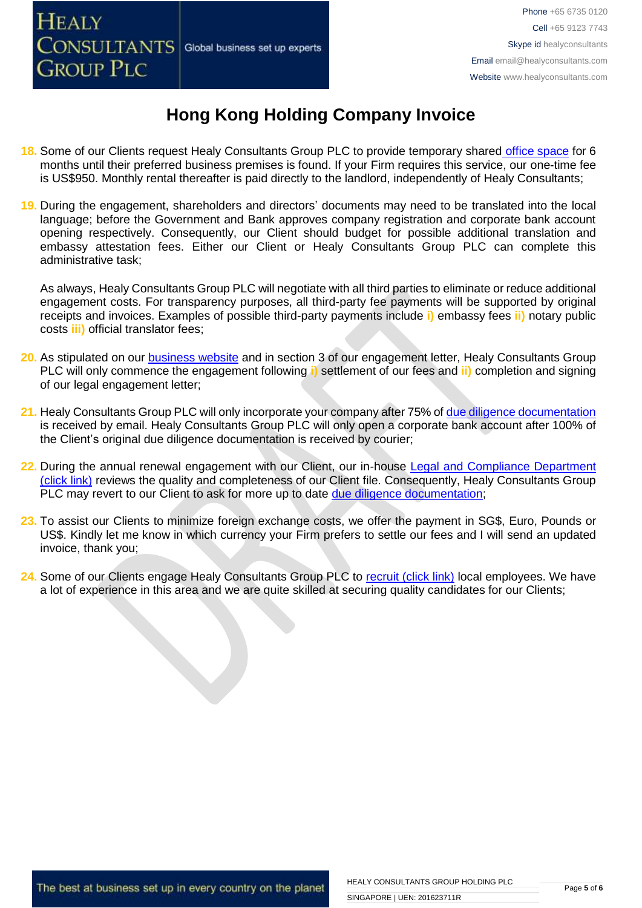

- **18.** Some of our Clients request Healy Consultants Group PLC to provide temporary shared [office space](http://www.healyconsultants.com/virtual-office/) for 6 months until their preferred business premises is found. If your Firm requires this service, our one-time fee is US\$950. Monthly rental thereafter is paid directly to the landlord, independently of Healy Consultants;
- **19.** During the engagement, shareholders and directors' documents may need to be translated into the local language; before the Government and Bank approves company registration and corporate bank account opening respectively. Consequently, our Client should budget for possible additional translation and embassy attestation fees. Either our Client or Healy Consultants Group PLC can complete this administrative task;

As always, Healy Consultants Group PLC will negotiate with all third parties to eliminate or reduce additional engagement costs. For transparency purposes, all third-party fee payments will be supported by original receipts and invoices. Examples of possible third-party payments include **i)** embassy fees **ii)** notary public costs **iii)** official translator fees;

- **20.** As stipulated on our [business website](http://www.healyconsultants.com/) and in section 3 of our engagement letter, Healy Consultants Group PLC will only commence the engagement following **i)** settlement of our fees and **ii)** completion and signing of our legal engagement letter;
- 21. Healy Consultants Group PLC will only incorporate your company after 75% of [due diligence documentation](http://www.healyconsultants.com/due-diligence/) is received by email. Healy Consultants Group PLC will only open a corporate bank account after 100% of the Client's original due diligence documentation is received by courier;
- **22.** During the annual renewal engagement with our Client, our in-house [Legal and Compliance Department](http://www.healyconsultants.com/about-us/key-personnel/cai-xin-profile/)  [\(click link\)](http://www.healyconsultants.com/about-us/key-personnel/cai-xin-profile/) reviews the quality and completeness of our Client file. Consequently, Healy Consultants Group PLC may revert to our Client to ask for more up to date [due diligence documentation;](http://www.healyconsultants.com/due-diligence/)
- **23.** To assist our Clients to minimize foreign exchange costs, we offer the payment in SG\$, Euro, Pounds or US\$. Kindly let me know in which currency your Firm prefers to settle our fees and I will send an updated invoice, thank you;
- 24. Some of our Clients engage Healy Consultants Group PLC to [recruit \(click link\)](http://www.healyconsultants.com/corporate-outsourcing-services/how-we-help-our-clients-recruit-quality-employees/) local employees. We have a lot of experience in this area and we are quite skilled at securing quality candidates for our Clients;